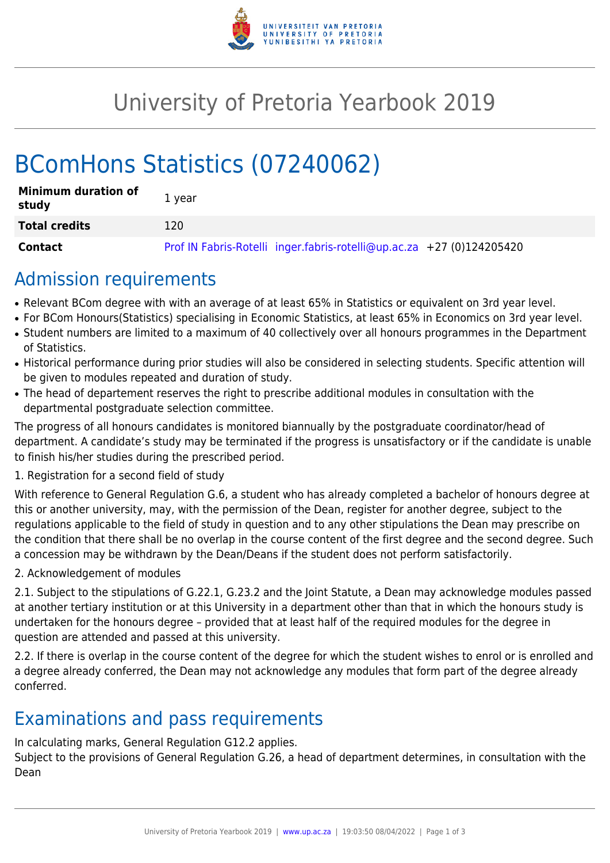

## University of Pretoria Yearbook 2019

# BComHons Statistics (07240062)

| <b>Minimum duration of</b><br>study | 1 year                                                                |
|-------------------------------------|-----------------------------------------------------------------------|
| <b>Total credits</b>                | 120                                                                   |
| Contact                             | Prof IN Fabris-Rotelli inger.fabris-rotelli@up.ac.za +27 (0)124205420 |

### Admission requirements

- Relevant BCom degree with with an average of at least 65% in Statistics or equivalent on 3rd year level.
- For BCom Honours(Statistics) specialising in Economic Statistics, at least 65% in Economics on 3rd year level.
- Student numbers are limited to a maximum of 40 collectively over all honours programmes in the Department of Statistics.
- Historical performance during prior studies will also be considered in selecting students. Specific attention will be given to modules repeated and duration of study.
- The head of departement reserves the right to prescribe additional modules in consultation with the departmental postgraduate selection committee.

The progress of all honours candidates is monitored biannually by the postgraduate coordinator/head of department. A candidate's study may be terminated if the progress is unsatisfactory or if the candidate is unable to finish his/her studies during the prescribed period.

#### 1. Registration for a second field of study

With reference to General Regulation G.6, a student who has already completed a bachelor of honours degree at this or another university, may, with the permission of the Dean, register for another degree, subject to the regulations applicable to the field of study in question and to any other stipulations the Dean may prescribe on the condition that there shall be no overlap in the course content of the first degree and the second degree. Such a concession may be withdrawn by the Dean/Deans if the student does not perform satisfactorily.

2. Acknowledgement of modules

2.1. Subject to the stipulations of G.22.1, G.23.2 and the Joint Statute, a Dean may acknowledge modules passed at another tertiary institution or at this University in a department other than that in which the honours study is undertaken for the honours degree – provided that at least half of the required modules for the degree in question are attended and passed at this university.

2.2. If there is overlap in the course content of the degree for which the student wishes to enrol or is enrolled and a degree already conferred, the Dean may not acknowledge any modules that form part of the degree already conferred.

### Examinations and pass requirements

In calculating marks, General Regulation G12.2 applies.

Subject to the provisions of General Regulation G.26, a head of department determines, in consultation with the Dean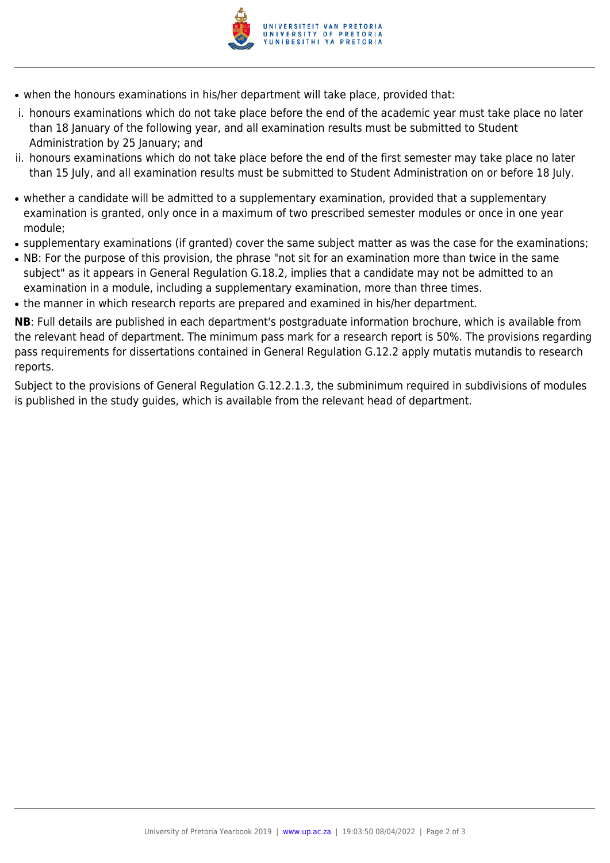

- when the honours examinations in his/her department will take place, provided that:
- i. honours examinations which do not take place before the end of the academic year must take place no later than 18 January of the following year, and all examination results must be submitted to Student Administration by 25 January; and
- ii. honours examinations which do not take place before the end of the first semester may take place no later than 15 July, and all examination results must be submitted to Student Administration on or before 18 July.
- whether a candidate will be admitted to a supplementary examination, provided that a supplementary examination is granted, only once in a maximum of two prescribed semester modules or once in one year module;
- supplementary examinations (if granted) cover the same subject matter as was the case for the examinations;
- NB: For the purpose of this provision, the phrase "not sit for an examination more than twice in the same subject" as it appears in General Regulation G.18.2, implies that a candidate may not be admitted to an examination in a module, including a supplementary examination, more than three times.
- the manner in which research reports are prepared and examined in his/her department.

**NB**: Full details are published in each department's postgraduate information brochure, which is available from the relevant head of department. The minimum pass mark for a research report is 50%. The provisions regarding pass requirements for dissertations contained in General Regulation G.12.2 apply mutatis mutandis to research reports.

Subject to the provisions of General Regulation G.12.2.1.3, the subminimum required in subdivisions of modules is published in the study guides, which is available from the relevant head of department.